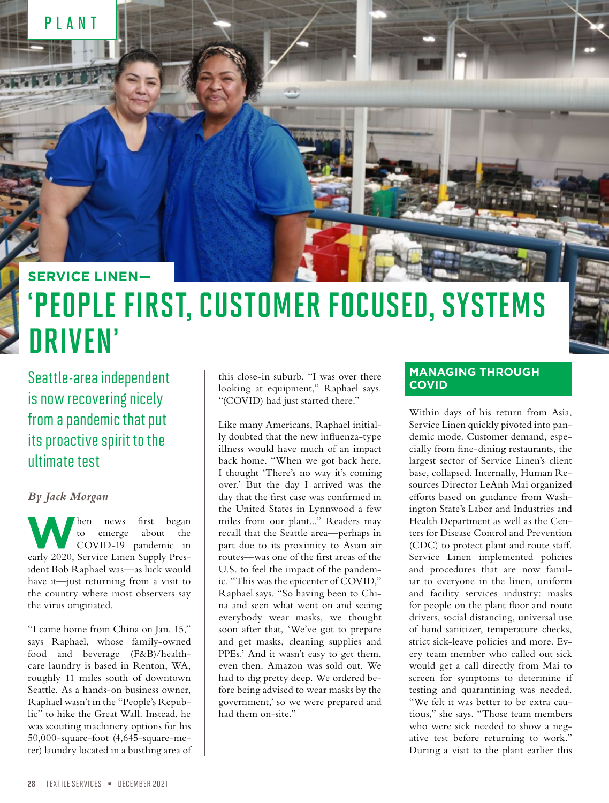

# 'PEOPLE FIRST, CUSTOMER FOCUSED, SYSTEMS DRIVEN'

Seattle-area independent is now recovering nicely from a pandemic that put its proactive spirit to the ultimate test

#### *By Jack Morgan*

**W** hen news first began<br>to emerge about the<br>COVID-19 pandemic in<br>early 2020 Service Linen Supply Presto emerge about the early 2020, Service Linen Supply President Bob Raphael was—as luck would have it—just returning from a visit to the country where most observers say the virus originated.

"I came home from China on Jan. 15," says Raphael, whose family-owned food and beverage (F&B)/healthcare laundry is based in Renton, WA, roughly 11 miles south of downtown Seattle. As a hands-on business owner, Raphael wasn't in the "People's Republic" to hike the Great Wall. Instead, he was scouting machinery options for his 50,000-square-foot (4,645-square-meter) laundry located in a bustling area of

this close-in suburb. "I was over there looking at equipment," Raphael says. "(COVID) had just started there."

Like many Americans, Raphael initially doubted that the new influenza-type illness would have much of an impact back home. "When we got back here, I thought 'There's no way it's coming over.' But the day I arrived was the day that the first case was confirmed in the United States in Lynnwood a few miles from our plant..." Readers may recall that the Seattle area—perhaps in part due to its proximity to Asian air routes—was one of the first areas of the U.S. to feel the impact of the pandemic. "This was the epicenter of COVID," Raphael says. "So having been to China and seen what went on and seeing everybody wear masks, we thought soon after that, 'We've got to prepare and get masks, cleaning supplies and PPEs.' And it wasn't easy to get them, even then. Amazon was sold out. We had to dig pretty deep. We ordered before being advised to wear masks by the government,' so we were prepared and had them on-site."

## **MANAGING THROUGH COVID**

Within days of his return from Asia, Service Linen quickly pivoted into pandemic mode. Customer demand, especially from fine-dining restaurants, the largest sector of Service Linen's client base, collapsed. Internally, Human Resources Director LeAnh Mai organized efforts based on guidance from Washington State's Labor and Industries and Health Department as well as the Centers for Disease Control and Prevention (CDC) to protect plant and route staff. Service Linen implemented policies and procedures that are now familiar to everyone in the linen, uniform and facility services industry: masks for people on the plant floor and route drivers, social distancing, universal use of hand sanitizer, temperature checks, strict sick-leave policies and more. Every team member who called out sick would get a call directly from Mai to screen for symptoms to determine if testing and quarantining was needed. "We felt it was better to be extra cautious," she says. "Those team members who were sick needed to show a negative test before returning to work." During a visit to the plant earlier this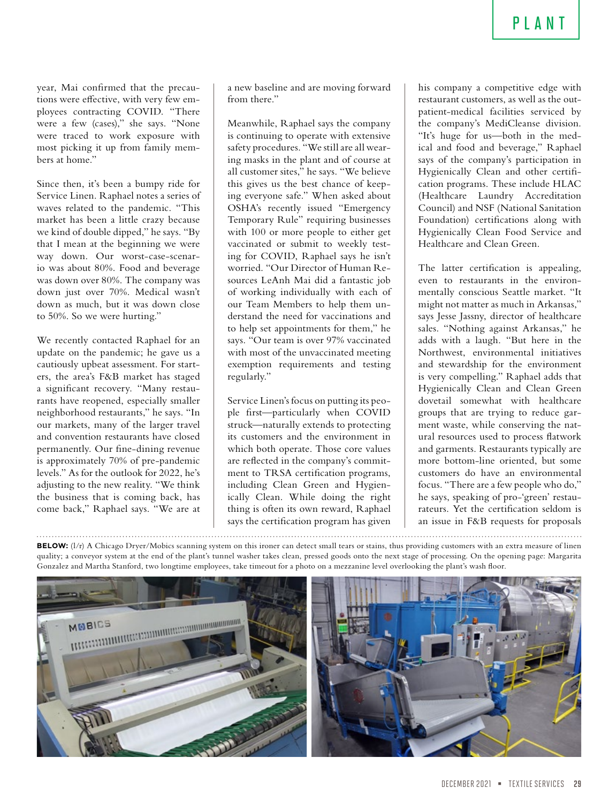year, Mai confirmed that the precautions were effective, with very few employees contracting COVID. "There were a few (cases)," she says. "None were traced to work exposure with most picking it up from family members at home."

Since then, it's been a bumpy ride for Service Linen. Raphael notes a series of waves related to the pandemic. "This market has been a little crazy because we kind of double dipped," he says. "By that I mean at the beginning we were way down. Our worst-case-scenario was about 80%. Food and beverage was down over 80%. The company was down just over 70%. Medical wasn't down as much, but it was down close to 50%. So we were hurting."

We recently contacted Raphael for an update on the pandemic; he gave us a cautiously upbeat assessment. For starters, the area's F&B market has staged a significant recovery. "Many restaurants have reopened, especially smaller neighborhood restaurants," he says. "In our markets, many of the larger travel and convention restaurants have closed permanently. Our fine-dining revenue is approximately 70% of pre-pandemic levels." As for the outlook for 2022, he's adjusting to the new reality. "We think the business that is coming back, has come back," Raphael says. "We are at

a new baseline and are moving forward from there."

Meanwhile, Raphael says the company is continuing to operate with extensive safety procedures. "We still are all wearing masks in the plant and of course at all customer sites," he says. "We believe this gives us the best chance of keeping everyone safe." When asked about OSHA's recently issued "Emergency Temporary Rule" requiring businesses with 100 or more people to either get vaccinated or submit to weekly testing for COVID, Raphael says he isn't worried. "Our Director of Human Resources LeAnh Mai did a fantastic job of working individually with each of our Team Members to help them understand the need for vaccinations and to help set appointments for them," he says. "Our team is over 97% vaccinated with most of the unvaccinated meeting exemption requirements and testing regularly."

Service Linen's focus on putting its people first—particularly when COVID struck—naturally extends to protecting its customers and the environment in which both operate. Those core values are reflected in the company's commitment to TRSA certification programs, including Clean Green and Hygienically Clean. While doing the right thing is often its own reward, Raphael says the certification program has given his company a competitive edge with restaurant customers, as well as the outpatient-medical facilities serviced by the company's MediCleanse division. "It's huge for us—both in the medical and food and beverage," Raphael says of the company's participation in Hygienically Clean and other certification programs. These include HLAC (Healthcare Laundry Accreditation Council) and NSF (National Sanitation Foundation) certifications along with Hygienically Clean Food Service and Healthcare and Clean Green.

The latter certification is appealing, even to restaurants in the environmentally conscious Seattle market. "It might not matter as much in Arkansas," says Jesse Jassny, director of healthcare sales. "Nothing against Arkansas," he adds with a laugh. "But here in the Northwest, environmental initiatives and stewardship for the environment is very compelling." Raphael adds that Hygienically Clean and Clean Green dovetail somewhat with healthcare groups that are trying to reduce garment waste, while conserving the natural resources used to process flatwork and garments. Restaurants typically are more bottom-line oriented, but some customers do have an environmental focus. "There are a few people who do," he says, speaking of pro-'green' restaurateurs. Yet the certification seldom is an issue in F&B requests for proposals

**BELOW:** (1/r) A Chicago Dryer/Mobics scanning system on this ironer can detect small tears or stains, thus providing customers with an extra measure of linen quality; a conveyor system at the end of the plant's tunnel washer takes clean, pressed goods onto the next stage of processing. On the opening page: Margarita Gonzalez and Martha Stanford, two longtime employees, take timeout for a photo on a mezzanine level overlooking the plant's wash floor.

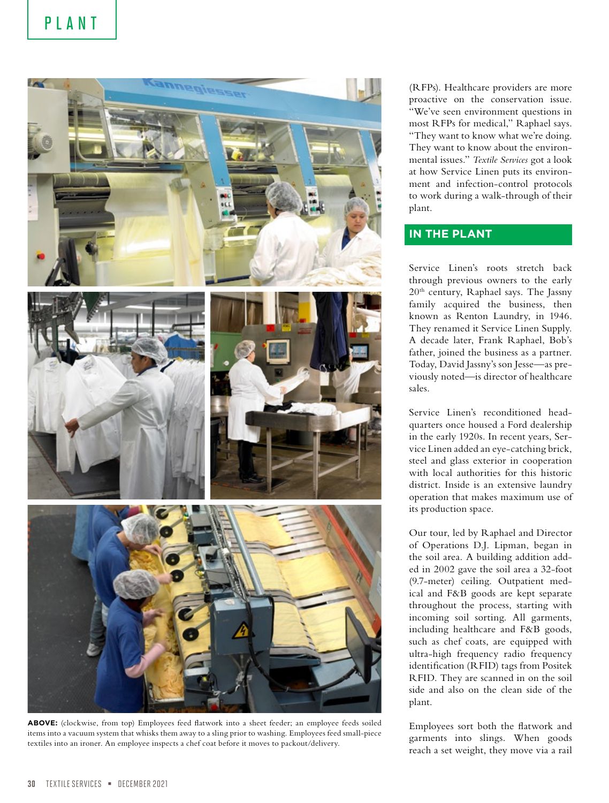

**ABOVE:** (clockwise, from top) Employees feed flatwork into a sheet feeder; an employee feeds soiled items into a vacuum system that whisks them away to a sling prior to washing. Employees feed small-piece textiles into an ironer. An employee inspects a chef coat before it moves to packout/delivery.

(RFPs). Healthcare providers are more proactive on the conservation issue. "We've seen environment questions in most RFPs for medical," Raphael says. "They want to know what we're doing. They want to know about the environmental issues." *Textile Services* got a look at how Service Linen puts its environment and infection-control protocols to work during a walk-through of their plant.

#### **IN THE PLANT**

Service Linen's roots stretch back through previous owners to the early 20th century, Raphael says. The Jassny family acquired the business, then known as Renton Laundry, in 1946. They renamed it Service Linen Supply. A decade later, Frank Raphael, Bob's father, joined the business as a partner. Today, David Jassny's son Jesse—as previously noted—is director of healthcare sales.

Service Linen's reconditioned headquarters once housed a Ford dealership in the early 1920s. In recent years, Service Linen added an eye-catching brick, steel and glass exterior in cooperation with local authorities for this historic district. Inside is an extensive laundry operation that makes maximum use of its production space.

Our tour, led by Raphael and Director of Operations D.J. Lipman, began in the soil area. A building addition added in 2002 gave the soil area a 32-foot (9.7-meter) ceiling. Outpatient medical and F&B goods are kept separate throughout the process, starting with incoming soil sorting. All garments, including healthcare and F&B goods, such as chef coats, are equipped with ultra-high frequency radio frequency identification (RFID) tags from Positek RFID. They are scanned in on the soil side and also on the clean side of the plant.

Employees sort both the flatwork and garments into slings. When goods reach a set weight, they move via a rail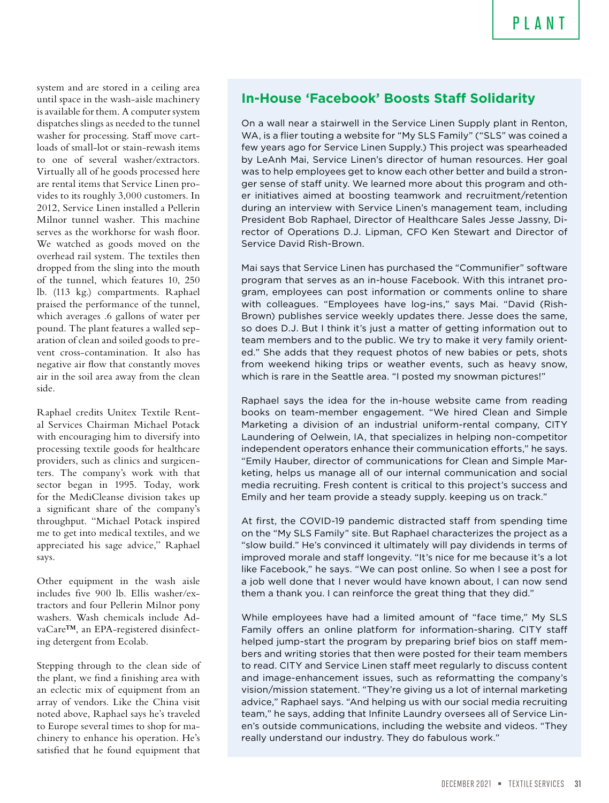system and are stored in a ceiling area until space in the wash-aisle machinery is available for them. A computer system dispatches slings as needed to the tunnel washer for processing. Staff move cartloads of small-lot or stain-rewash items to one of several washer/extractors. Virtually all of he goods processed here are rental items that Service Linen provides to its roughly 3,000 customers. In 2012, Service Linen installed a Pellerin Milnor tunnel washer. This machine serves as the workhorse for wash floor. We watched as goods moved on the overhead rail system. The textiles then dropped from the sling into the mouth of the tunnel, which features 10, 250 lb. (113 kg.) compartments. Raphael praised the performance of the tunnel, which averages .6 gallons of water per pound. The plant features a walled separation of clean and soiled goods to prevent cross-contamination. It also has negative air flow that constantly moves air in the soil area away from the clean side.

Raphael credits Unitex Textile Rental Services Chairman Michael Potack with encouraging him to diversify into processing textile goods for healthcare providers, such as clinics and surgicenters. The company's work with that sector began in 1995. Today, work for the MediCleanse division takes up a significant share of the company's throughput. "Michael Potack inspired me to get into medical textiles, and we appreciated his sage advice," Raphael says.

Other equipment in the wash aisle includes five 900 lb. Ellis washer/extractors and four Pellerin Milnor pony washers. Wash chemicals include AdvaCare™, an EPA-registered disinfecting detergent from Ecolab.

Stepping through to the clean side of the plant, we find a finishing area with an eclectic mix of equipment from an array of vendors. Like the China visit noted above, Raphael says he's traveled to Europe several times to shop for machinery to enhance his operation. He's satisfied that he found equipment that

# **In-House 'Facebook' Boosts Staff Solidarity**

On a wall near a stairwell in the Service Linen Supply plant in Renton, WA, is a flier touting a website for "My SLS Family" ("SLS" was coined a few years ago for Service Linen Supply.) This project was spearheaded by LeAnh Mai, Service Linen's director of human resources. Her goal was to help employees get to know each other better and build a stronger sense of staff unity. We learned more about this program and other initiatives aimed at boosting teamwork and recruitment/retention during an interview with Service Linen's management team, including President Bob Raphael, Director of Healthcare Sales Jesse Jassny, Director of Operations D.J. Lipman, CFO Ken Stewart and Director of Service David Rish-Brown.

Mai says that Service Linen has purchased the "Communifier" software program that serves as an in-house Facebook. With this intranet program, employees can post information or comments online to share with colleagues. "Employees have log-ins," says Mai. "David (Rish-Brown) publishes service weekly updates there. Jesse does the same, so does D.J. But I think it's just a matter of getting information out to team members and to the public. We try to make it very family oriented." She adds that they request photos of new babies or pets, shots from weekend hiking trips or weather events, such as heavy snow, which is rare in the Seattle area. "I posted my snowman pictures!"

Raphael says the idea for the in-house website came from reading books on team-member engagement. "We hired Clean and Simple Marketing a division of an industrial uniform-rental company, CITY Laundering of Oelwein, IA, that specializes in helping non-competitor independent operators enhance their communication efforts," he says. "Emily Hauber, director of communications for Clean and Simple Marketing, helps us manage all of our internal communication and social media recruiting. Fresh content is critical to this project's success and Emily and her team provide a steady supply. keeping us on track."

At first, the COVID-19 pandemic distracted staff from spending time on the "My SLS Family" site. But Raphael characterizes the project as a "slow build." He's convinced it ultimately will pay dividends in terms of improved morale and staff longevity. "It's nice for me because it's a lot like Facebook," he says. "We can post online. So when I see a post for a job well done that I never would have known about, I can now send them a thank you. I can reinforce the great thing that they did."

While employees have had a limited amount of "face time," My SLS Family offers an online platform for information-sharing. CITY staff helped jump-start the program by preparing brief bios on staff members and writing stories that then were posted for their team members to read. CITY and Service Linen staff meet regularly to discuss content and image-enhancement issues, such as reformatting the company's vision/mission statement. "They're giving us a lot of internal marketing advice," Raphael says. "And helping us with our social media recruiting team," he says, adding that Infinite Laundry oversees all of Service Linen's outside communications, including the website and videos. "They really understand our industry. They do fabulous work."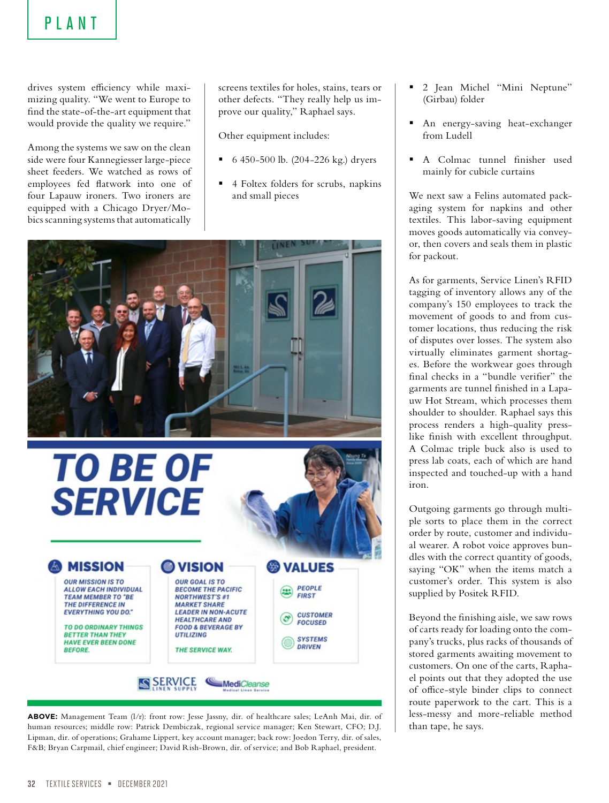# PLANT

drives system efficiency while maximizing quality. "We went to Europe to find the state-of-the-art equipment that would provide the quality we require."

Among the systems we saw on the clean side were four Kannegiesser large-piece sheet feeders. We watched as rows of employees fed flatwork into one of four Lapauw ironers. Two ironers are equipped with a Chicago Dryer/Mobics scanning systems that automatically

screens textiles for holes, stains, tears or other defects. "They really help us improve our quality," Raphael says.

Other equipment includes:

- 6 450-500 lb. (204-226 kg.) dryers
- 4 Foltex folders for scrubs, napkins and small pieces



**ABOVE:** Management Team (l/r): front row: Jesse Jassny, dir. of healthcare sales; LeAnh Mai, dir. of human resources; middle row: Patrick Dembiczak, regional service manager; Ken Stewart, CFO; D.J. Lipman, dir. of operations; Grahame Lippert, key account manager; back row: Joedon Terry, dir. of sales, F&B; Bryan Carpmail, chief engineer; David Rish-Brown, dir. of service; and Bob Raphael, president.

- 2 Jean Michel "Mini Neptune" (Girbau) folder
- An energy-saving heat-exchanger from Ludell
- A Colmac tunnel finisher used mainly for cubicle curtains

We next saw a Felins automated packaging system for napkins and other textiles. This labor-saving equipment moves goods automatically via conveyor, then covers and seals them in plastic for packout.

As for garments, Service Linen's RFID tagging of inventory allows any of the company's 150 employees to track the movement of goods to and from customer locations, thus reducing the risk of disputes over losses. The system also virtually eliminates garment shortages. Before the workwear goes through final checks in a "bundle verifier" the garments are tunnel finished in a Lapauw Hot Stream, which processes them shoulder to shoulder. Raphael says this process renders a high-quality presslike finish with excellent throughput. A Colmac triple buck also is used to press lab coats, each of which are hand inspected and touched-up with a hand iron.

Outgoing garments go through multiple sorts to place them in the correct order by route, customer and individual wearer. A robot voice approves bundles with the correct quantity of goods, saying "OK" when the items match a customer's order. This system is also supplied by Positek RFID.

Beyond the finishing aisle, we saw rows of carts ready for loading onto the company's trucks, plus racks of thousands of stored garments awaiting movement to customers. On one of the carts, Raphael points out that they adopted the use of office-style binder clips to connect route paperwork to the cart. This is a less-messy and more-reliable method than tape, he says.